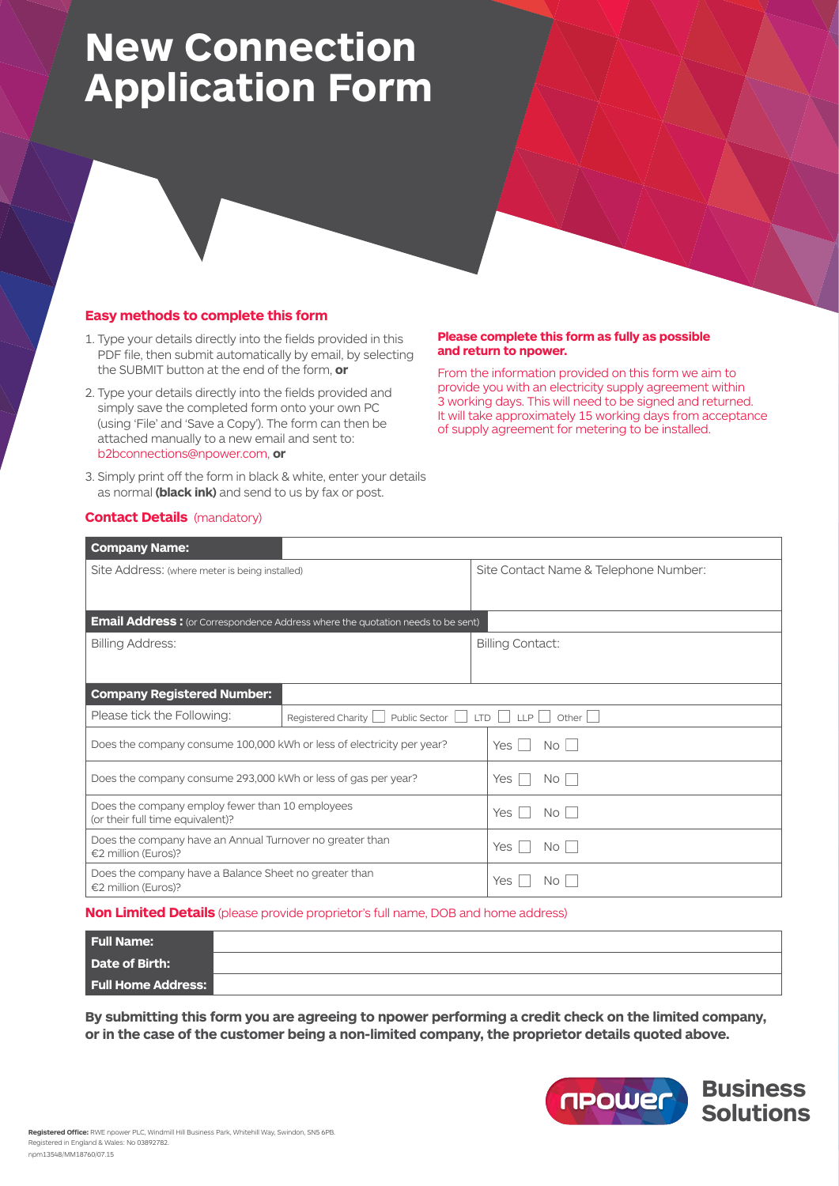# **New Connection Application Form**

## **Easy methods to complete this form**

- 1. Type your details directly into the fields provided in this PDF file, then submit automatically by email, by selecting the SUBMIT button at the end of the form, **or**
- 2. Type your details directly into the fields provided and simply save the completed form onto your own PC (using 'File' and 'Save a Copy'). The form can then be attached manually to a new email and sent to: b2bconnections@npower.com, **or**
- 3. Simply print off the form in black & white, enter your details as normal **(black ink)** and send to us by fax or post.

#### **Please complete this form as fully as possible and return to npower.**

From the information provided on this form we aim to provide you with an electricity supply agreement within 3 working days. This will need to be signed and returned. It will take approximately 15 working days from acceptance of supply agreement for metering to be installed.

### **Contact Details** (mandatory)

| <b>Company Name:</b>                                                                |                                                                                        |                                       |  |  |
|-------------------------------------------------------------------------------------|----------------------------------------------------------------------------------------|---------------------------------------|--|--|
| Site Address: (where meter is being installed)                                      |                                                                                        | Site Contact Name & Telephone Number: |  |  |
|                                                                                     | <b>Email Address:</b> (or Correspondence Address where the quotation needs to be sent) |                                       |  |  |
| <b>Billing Address:</b>                                                             |                                                                                        | <b>Billing Contact:</b>               |  |  |
|                                                                                     |                                                                                        |                                       |  |  |
| <b>Company Registered Number:</b>                                                   |                                                                                        |                                       |  |  |
| Please tick the Following:                                                          | Public Sector     LTD     LLP  <br>Registered Charity                                  | Other $  \cdot  $                     |  |  |
| Does the company consume 100,000 kWh or less of electricity per year?               |                                                                                        | N <sub>O</sub><br>Yes<br>$\sim$       |  |  |
| Does the company consume 293,000 kWh or less of gas per year?                       |                                                                                        | Yes<br>No.                            |  |  |
| Does the company employ fewer than 10 employees<br>(or their full time equivalent)? |                                                                                        | Yes<br>No I                           |  |  |
| Does the company have an Annual Turnover no greater than<br>€2 million (Euros)?     |                                                                                        | Yes<br>No.                            |  |  |
| Does the company have a Balance Sheet no greater than<br>€2 million (Euros)?        |                                                                                        | <b>Yes</b><br>No.                     |  |  |

#### **Non Limited Details** (please provide proprietor's full name, DOB and home address)

| <b>Full Name:</b>         |  |
|---------------------------|--|
| Date of Birth:            |  |
| <b>Full Home Address:</b> |  |

**By submitting this form you are agreeing to npower performing a credit check on the limited company, or in the case of the customer being a non-limited company, the proprietor details quoted above.**